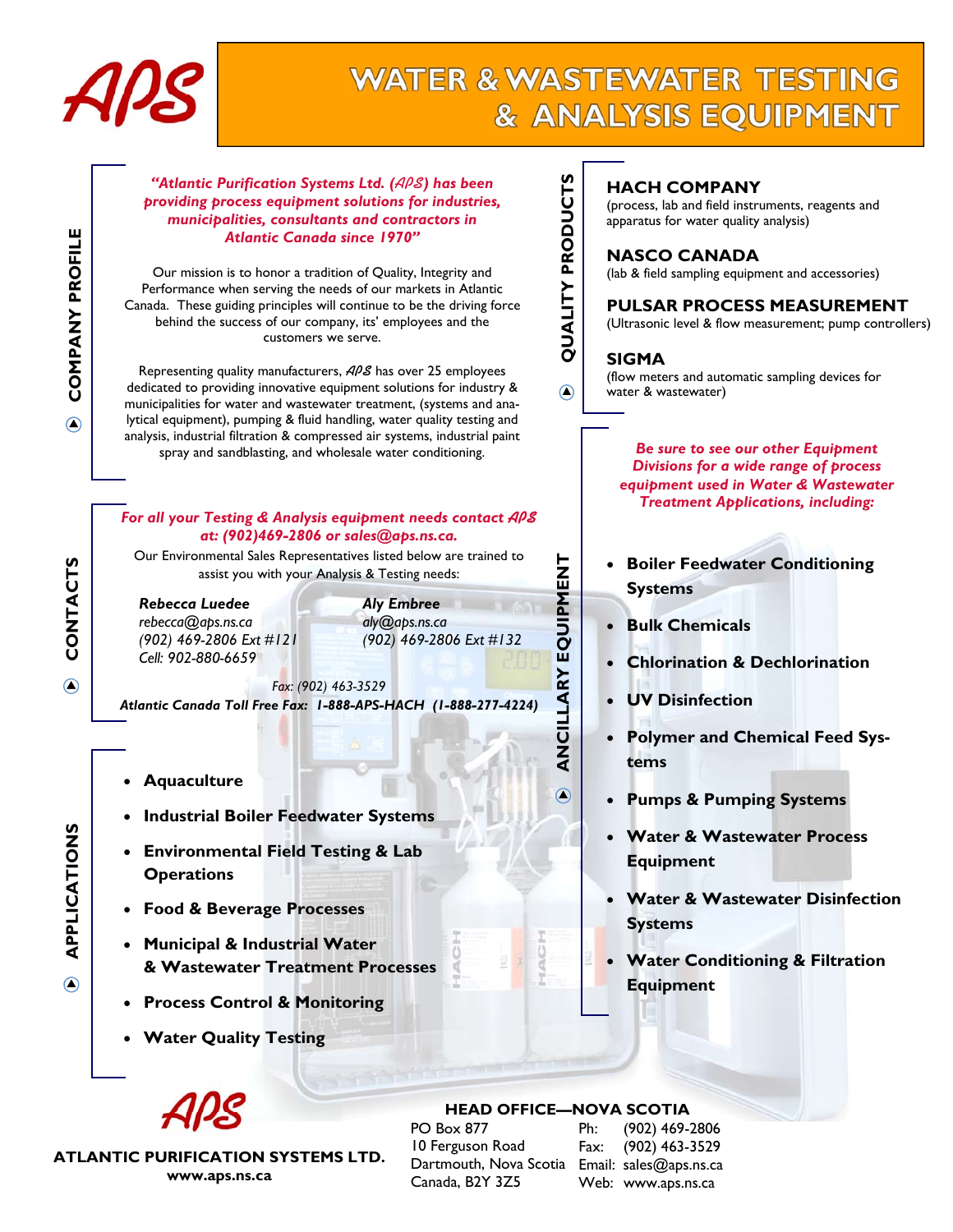

# **WATER & WASTEWATER TESTING** & ANALYSIS EQUIPMENT



**APPLICATIONS** 

**APPLICATIONS** 

**CONTACTS** 

**ATLANTIC PURIFICATION SYSTEMS LTD. www.aps.ns.ca** 

### **HEAD OFFICE—NOVA SCOTIA**

PO Box 877 10 Ferguson Road Dartmouth, Nova Scotia Email: sales@aps.ns.ca Canada, B2Y 3Z5

Ph: (902) 469-2806 Fax: (902) 463-3529 Web: www.aps.ns.ca